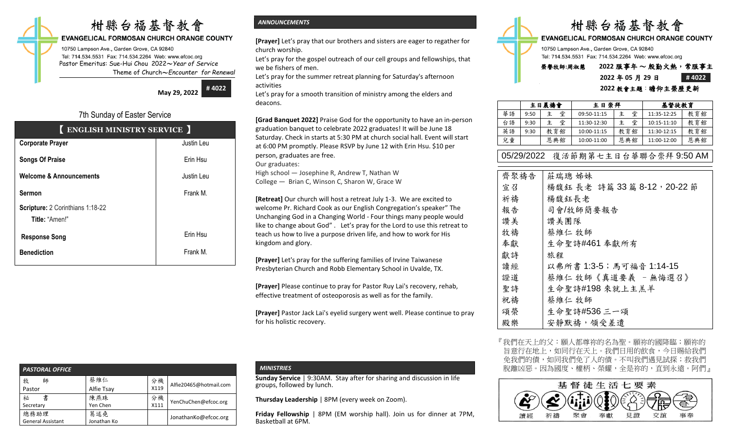# 柑縣台福基督教會

### **EVANGELICAL FORMOSAN CHURCH ORANGE COUNTY**

10750 Lampson Ave., Garden Grove, CA 92840 Tel: 714.534.5531 Fax: 714.534.2264 Web: www.efcoc.org Pastor Emeritus: Sue-Hui Chou 2022〜*Year of Service* Theme of Church〜*Encounter for Renewal*

> **May 29, 2022 # 4022**

## 7th Sunday of Easter Service

| <b>ENGLISH MINISTRY SERVICE</b>    |            |
|------------------------------------|------------|
| <b>Corporate Prayer</b>            | Justin Leu |
| <b>Songs Of Praise</b>             | Erin Hsu   |
| <b>Welcome &amp; Announcements</b> | Justin Leu |
| <b>Sermon</b>                      | Frank M.   |
| Scripture: 2 Corinthians 1:18-22   |            |
| Title: "Amen!"                     |            |
| <b>Response Song</b>               | Erin Hsu   |
| <b>Benediction</b>                 | Frank M.   |
|                                    |            |

## *ANNOUNCEMENTS*

**[Prayer]** Let's pray that our brothers and sisters are eager to regather for church worship.

Let's pray for the gospel outreach of our cell groups and fellowships, that we be fishers of men.

Let's pray for the summer retreat planning for Saturday's afternoon activities

Let's pray for a smooth transition of ministry among the elders and deacons.

**[Grad Banquet 2022]** Praise God for the opportunity to have an in-person graduation banquet to celebrate 2022 graduates! It will be June 18 Saturday. Check in starts at 5:30 PM at church social hall. Event will start at 6:00 PM promptly. Please RSVP by June 12 with Erin Hsu. \$10 per person, graduates are free.

Our graduates:

High school — Josephine R, Andrew T, Nathan W College — Brian C, Winson C, Sharon W, Grace W

**[Retreat]** Our church will host a retreat July 1-3. We are excited to welcome Pr. Richard Cook as our English Congregation's speaker" The Unchanging God in a Changing World - Four things many people would like to change about God" . Let's pray for the Lord to use this retreat to teach us how to live a purpose driven life, and how to work for His kingdom and glory.

**[Prayer]** Let's pray for the suffering families of Irvine Taiwanese Presbyterian Church and Robb Elementary School in Uvalde, TX.

**[Prayer]** Please continue to pray for Pastor Ruy Lai's recovery, rehab, effective treatment of osteoporosis as well as for the family.

**[Prayer]** Pastor Jack Lai's eyelid surgery went well. Please continue to pray for his holistic recovery.

| <b>PASTORAL OFFICE</b>           |                    |      |                        |
|----------------------------------|--------------------|------|------------------------|
| 牧<br>師                           | 蔡維仁                | 分機   | Alfie20465@hotmail.com |
| Pastor                           | Alfie Tsay         | X119 |                        |
| 書<br>祕                           | 陳燕珠                | 分機   | YenChuChen@efcoc.org   |
| Secretary                        | Yen Chen           | X111 |                        |
| 總務助理<br><b>General Assistant</b> | 葛述堯<br>Jonathan Ko |      | JonathanKo@efcoc.org   |

## *MINISTRIES*

**Sunday Service** | 9:30AM. Stay after for sharing and discussion in life groups, followed by lunch.

**Thursday Leadership** | 8PM (every week on Zoom).

**Friday Fellowship** | 8PM (EM worship hall). Join us for dinner at 7PM, Basketball at 6PM.



**EVANGELICAL FORMOSAN CHURCH ORANGE COUNTY** 

10750 Lampson Ave., Garden Grove, CA 92840 Tel: 714.534.5531 Fax: 714.534.2264 Web: www.efcoc.org

# 榮譽牧師**:**周淑慧 **2022** 服事年 〜 殷勤火熱,常服事主

# **2022** 年 **05** 月 **29** 日 **# 4022**

### **2022** 教會主題:瞻仰主榮歷更新

|    | 主日晨禱會 |        | 主日崇拜        |     | 基督徒教育           |     |
|----|-------|--------|-------------|-----|-----------------|-----|
| 華語 | 9:50  | 堂<br>主 | 09:50-11:15 | 堂   | 11:35-12:25     | 教育館 |
| 台語 | 9:30  | 堂<br>主 | 11:30-12:30 | 堂   | $10:15 - 11:10$ | 教育館 |
| 英語 | 9:30  | 教育館    | 10:00-11:15 | 教育館 | 11:30-12:15     | 教育館 |
| 兒童 |       | 恩典館    | 10:00-11:00 | 恩典館 | 11:00-12:00     | 恩典館 |

# 05/29/2022 復活節期第七主日台華聯合崇拜 9:50 AM

| 齊聚禱告 | 莊瑞璁 姊妹                     |
|------|----------------------------|
| 宣召   | 楊馥鈺 長老 詩篇 33篇 8-12, 20-22節 |
| 祈禱   | 楊馥鈺長老                      |
| 報告   | 司會/牧師簡要報告                  |
| 讚美   | 讚美團隊                       |
| 牧禱   | 蔡維仁 牧師                     |
| 奉獻   | 生命聖詩#461 奉獻所有              |
| 獻詩   | 旅程                         |
| 讀經   | 以弗所書 1:3-5;馬可福音 1:14-15    |
| 證道   | 蔡維仁 牧師《真道要義 - 無悔選召》        |
| 聖詩   | 生命聖詩#198 來就上主羔羊            |
| 祝禱   | 蔡維仁 牧師                     |
| 頌榮   | 生命聖詩#536 三一頌               |
| 殿樂   | 安靜默禱,領受差遣                  |
|      |                            |

『我們在天上的父:願人都尊祢的名為聖。願祢的國降臨; 旨意行在地上,如同行在天上。我們日用的飲食,今日賜給我們 免我們的債,如同我們免了人的債。不叫我們遇見試探;救我們 脫離凶惡。因為國度、權柄、榮耀,全是祢的,直到永遠。阿們』